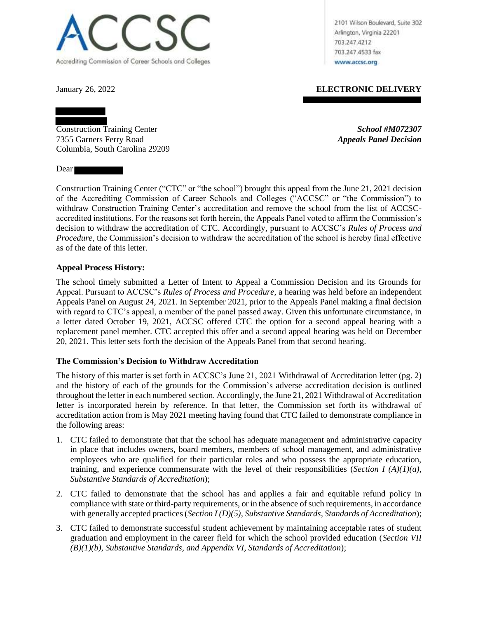

2101 Wilson Boulevard, Suite 302 Arlington, Virginia 22201 703.247.4212 703.247.4533 fax www.accsc.org

January 26, 2022 **ELECTRONIC DELIVERY**

Construction Training Center *School #M072307* 7355 Garners Ferry Road *Appeals Panel Decision* Columbia, South Carolina 29209

Dear **Dear** 

Construction Training Center ("CTC" or "the school") brought this appeal from the June 21, 2021 decision of the Accrediting Commission of Career Schools and Colleges ("ACCSC" or "the Commission") to withdraw Construction Training Center's accreditation and remove the school from the list of ACCSCaccredited institutions. For the reasons set forth herein, the Appeals Panel voted to affirm the Commission's decision to withdraw the accreditation of CTC. Accordingly, pursuant to ACCSC's *Rules of Process and Procedure,* the Commission's decision to withdraw the accreditation of the school is hereby final effective as of the date of this letter.

## **Appeal Process History:**

The school timely submitted a Letter of Intent to Appeal a Commission Decision and its Grounds for Appeal. Pursuant to ACCSC's *Rules of Process and Procedure*, a hearing was held before an independent Appeals Panel on August 24, 2021. In September 2021, prior to the Appeals Panel making a final decision with regard to CTC's appeal, a member of the panel passed away. Given this unfortunate circumstance, in a letter dated October 19, 2021, ACCSC offered CTC the option for a second appeal hearing with a replacement panel member. CTC accepted this offer and a second appeal hearing was held on December 20, 2021. This letter sets forth the decision of the Appeals Panel from that second hearing.

# **The Commission's Decision to Withdraw Accreditation**

The history of this matter is set forth in ACCSC's June 21, 2021 Withdrawal of Accreditation letter (pg. 2) and the history of each of the grounds for the Commission's adverse accreditation decision is outlined throughout the letter in each numbered section. Accordingly, the June 21, 2021 Withdrawal of Accreditation letter is incorporated herein by reference. In that letter, the Commission set forth its withdrawal of accreditation action from is May 2021 meeting having found that CTC failed to demonstrate compliance in the following areas:

- 1. CTC failed to demonstrate that that the school has adequate management and administrative capacity in place that includes owners, board members, members of school management, and administrative employees who are qualified for their particular roles and who possess the appropriate education, training, and experience commensurate with the level of their responsibilities (*Section I (A)(1)(a)*, *Substantive Standards of Accreditation*);
- 2. CTC failed to demonstrate that the school has and applies a fair and equitable refund policy in compliance with state or third-party requirements, or in the absence of such requirements, in accordance with generally accepted practices (*Section I (D)(5)*, *Substantive Standards*, *Standards of Accreditation*);
- 3. CTC failed to demonstrate successful student achievement by maintaining acceptable rates of student graduation and employment in the career field for which the school provided education (*Section VII (B)(1)(b), Substantive Standards, and Appendix VI, Standards of Accreditation*);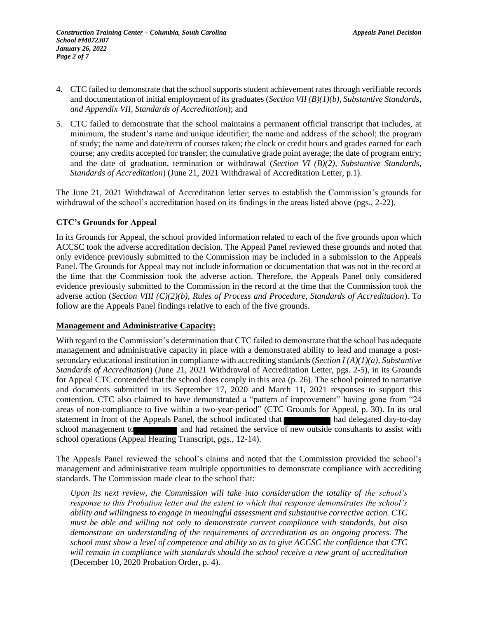- 4. CTC failed to demonstrate that the school supports student achievement rates through verifiable records and documentation of initial employment of its graduates (*Section VII (B)(1)(b), Substantive Standards, and Appendix VII, Standards of Accreditation*); and
- 5. CTC failed to demonstrate that the school maintains a permanent official transcript that includes, at minimum, the student's name and unique identifier; the name and address of the school; the program of study; the name and date/term of courses taken; the clock or credit hours and grades earned for each course; any credits accepted for transfer; the cumulative grade point average; the date of program entry; and the date of graduation, termination or withdrawal (*Section VI (B)(2), Substantive Standards, Standards of Accreditation*) (June 21, 2021 Withdrawal of Accreditation Letter, p.1).

The June 21, 2021 Withdrawal of Accreditation letter serves to establish the Commission's grounds for withdrawal of the school's accreditation based on its findings in the areas listed above (pgs., 2-22).

#### **CTC's Grounds for Appeal**

In its Grounds for Appeal, the school provided information related to each of the five grounds upon which ACCSC took the adverse accreditation decision. The Appeal Panel reviewed these grounds and noted that only evidence previously submitted to the Commission may be included in a submission to the Appeals Panel. The Grounds for Appeal may not include information or documentation that was not in the record at the time that the Commission took the adverse action. Therefore, the Appeals Panel only considered evidence previously submitted to the Commission in the record at the time that the Commission took the adverse action (*Section VIII (C)(2)(b), Rules of Process and Procedure, Standards of Accreditation*). To follow are the Appeals Panel findings relative to each of the five grounds.

#### **Management and Administrative Capacity:**

With regard to the Commission's determination that CTC failed to demonstrate that the school has adequate management and administrative capacity in place with a demonstrated ability to lead and manage a postsecondary educational institution in compliance with accrediting standards (*Section I (A)(1)(a), Substantive Standards of Accreditation*) (June 21, 2021 Withdrawal of Accreditation Letter, pgs. 2-5), in its Grounds for Appeal CTC contended that the school does comply in this area (p. 26). The school pointed to narrative and documents submitted in its September 17, 2020 and March 11, 2021 responses to support this contention. CTC also claimed to have demonstrated a "pattern of improvement" having gone from "24 areas of non-compliance to five within a two-year-period" (CTC Grounds for Appeal, p. 30). In its oral statement in front of the Appeals Panel, the school indicated that had delegated day-to-day school management to and had retained the service of new outside consultants to assist with school operations (Appeal Hearing Transcript, pgs., 12-14).

The Appeals Panel reviewed the school's claims and noted that the Commission provided the school's management and administrative team multiple opportunities to demonstrate compliance with accrediting standards. The Commission made clear to the school that:

*Upon its next review, the Commission will take into consideration the totality of the school's response to this Probation letter and the extent to which that response demonstrates the school's ability and willingness to engage in meaningful assessment and substantive corrective action. CTC must be able and willing not only to demonstrate current compliance with standards, but also demonstrate an understanding of the requirements of accreditation as an ongoing process. The school must show a level of competence and ability so as to give ACCSC the confidence that CTC will remain in compliance with standards should the school receive a new grant of accreditation* (December 10, 2020 Probation Order, p. 4)*.*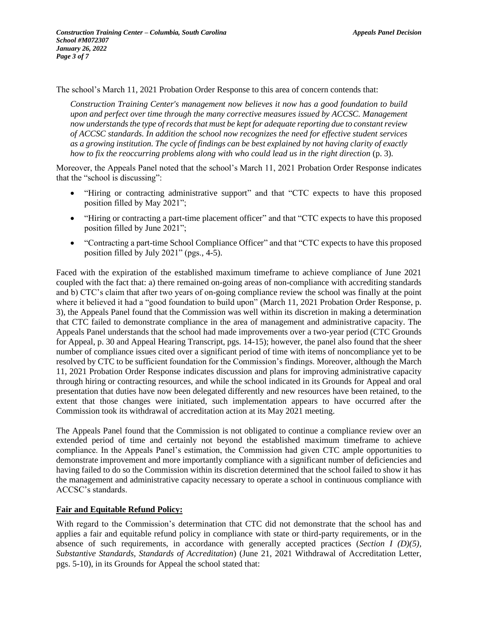The school's March 11, 2021 Probation Order Response to this area of concern contends that:

*Construction Training Center's management now believes it now has a good foundation to build upon and perfect over time through the many corrective measures issued by ACCSC. Management now understands the type of records that must be kept for adequate reporting due to constant review of ACCSC standards. In addition the school now recognizes the need for effective student services as a growing institution. The cycle of findings can be best explained by not having clarity of exactly how to fix the reoccurring problems along with who could lead us in the right direction* (p. 3)*.*

Moreover, the Appeals Panel noted that the school's March 11, 2021 Probation Order Response indicates that the "school is discussing":

- "Hiring or contracting administrative support" and that "CTC expects to have this proposed position filled by May 2021";
- "Hiring or contracting a part-time placement officer" and that "CTC expects to have this proposed position filled by June 2021";
- "Contracting a part-time School Compliance Officer" and that "CTC expects to have this proposed position filled by July 2021" (pgs., 4-5).

Faced with the expiration of the established maximum timeframe to achieve compliance of June 2021 coupled with the fact that: a) there remained on-going areas of non-compliance with accrediting standards and b) CTC's claim that after two years of on-going compliance review the school was finally at the point where it believed it had a "good foundation to build upon" (March 11, 2021 Probation Order Response, p. 3), the Appeals Panel found that the Commission was well within its discretion in making a determination that CTC failed to demonstrate compliance in the area of management and administrative capacity. The Appeals Panel understands that the school had made improvements over a two-year period (CTC Grounds for Appeal, p. 30 and Appeal Hearing Transcript, pgs. 14-15); however, the panel also found that the sheer number of compliance issues cited over a significant period of time with items of noncompliance yet to be resolved by CTC to be sufficient foundation for the Commission's findings. Moreover, although the March 11, 2021 Probation Order Response indicates discussion and plans for improving administrative capacity through hiring or contracting resources, and while the school indicated in its Grounds for Appeal and oral presentation that duties have now been delegated differently and new resources have been retained, to the extent that those changes were initiated, such implementation appears to have occurred after the Commission took its withdrawal of accreditation action at its May 2021 meeting.

The Appeals Panel found that the Commission is not obligated to continue a compliance review over an extended period of time and certainly not beyond the established maximum timeframe to achieve compliance. In the Appeals Panel's estimation, the Commission had given CTC ample opportunities to demonstrate improvement and more importantly compliance with a significant number of deficiencies and having failed to do so the Commission within its discretion determined that the school failed to show it has the management and administrative capacity necessary to operate a school in continuous compliance with ACCSC's standards.

#### **Fair and Equitable Refund Policy:**

With regard to the Commission's determination that CTC did not demonstrate that the school has and applies a fair and equitable refund policy in compliance with state or third-party requirements, or in the absence of such requirements, in accordance with generally accepted practices (*Section I (D)(5), Substantive Standards, Standards of Accreditation*) (June 21, 2021 Withdrawal of Accreditation Letter, pgs. 5-10), in its Grounds for Appeal the school stated that: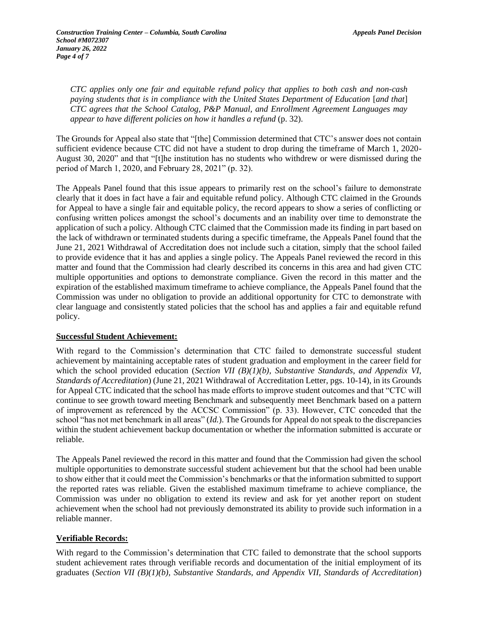*CTC applies only one fair and equitable refund policy that applies to both cash and non-cash paying students that is in compliance with the United States Department of Education* [*and that*] *CTC agrees that the School Catalog, P&P Manual, and Enrollment Agreement Languages may appear to have different policies on how it handles a refund* (p. 32).

The Grounds for Appeal also state that "[the] Commission determined that CTC's answer does not contain sufficient evidence because CTC did not have a student to drop during the timeframe of March 1, 2020- August 30, 2020" and that "[t]he institution has no students who withdrew or were dismissed during the period of March 1, 2020, and February 28, 2021" (p. 32).

The Appeals Panel found that this issue appears to primarily rest on the school's failure to demonstrate clearly that it does in fact have a fair and equitable refund policy. Although CTC claimed in the Grounds for Appeal to have a single fair and equitable policy, the record appears to show a series of conflicting or confusing written polices amongst the school's documents and an inability over time to demonstrate the application of such a policy. Although CTC claimed that the Commission made its finding in part based on the lack of withdrawn or terminated students during a specific timeframe, the Appeals Panel found that the June 21, 2021 Withdrawal of Accreditation does not include such a citation, simply that the school failed to provide evidence that it has and applies a single policy. The Appeals Panel reviewed the record in this matter and found that the Commission had clearly described its concerns in this area and had given CTC multiple opportunities and options to demonstrate compliance. Given the record in this matter and the expiration of the established maximum timeframe to achieve compliance, the Appeals Panel found that the Commission was under no obligation to provide an additional opportunity for CTC to demonstrate with clear language and consistently stated policies that the school has and applies a fair and equitable refund policy.

#### **Successful Student Achievement:**

With regard to the Commission's determination that CTC failed to demonstrate successful student achievement by maintaining acceptable rates of student graduation and employment in the career field for which the school provided education (*Section VII (B)(1)(b)*, *Substantive Standards, and Appendix VI*, *Standards of Accreditation*) (June 21, 2021 Withdrawal of Accreditation Letter, pgs. 10-14), in its Grounds for Appeal CTC indicated that the school has made efforts to improve student outcomes and that "CTC will continue to see growth toward meeting Benchmark and subsequently meet Benchmark based on a pattern of improvement as referenced by the ACCSC Commission" (p. 33). However, CTC conceded that the school "has not met benchmark in all areas" (*Id.*). The Grounds for Appeal do not speak to the discrepancies within the student achievement backup documentation or whether the information submitted is accurate or reliable.

The Appeals Panel reviewed the record in this matter and found that the Commission had given the school multiple opportunities to demonstrate successful student achievement but that the school had been unable to show either that it could meet the Commission's benchmarks or that the information submitted to support the reported rates was reliable. Given the established maximum timeframe to achieve compliance, the Commission was under no obligation to extend its review and ask for yet another report on student achievement when the school had not previously demonstrated its ability to provide such information in a reliable manner.

#### **Verifiable Records:**

With regard to the Commission's determination that CTC failed to demonstrate that the school supports student achievement rates through verifiable records and documentation of the initial employment of its graduates (*Section VII (B)(1)(b), Substantive Standards, and Appendix VII, Standards of Accreditation*)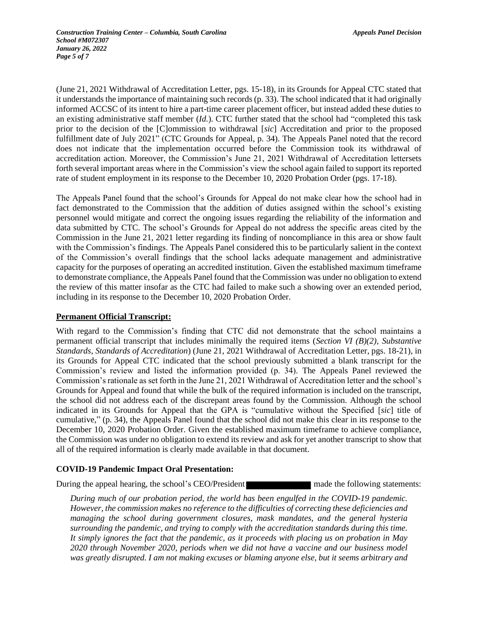(June 21, 2021 Withdrawal of Accreditation Letter, pgs. 15-18), in its Grounds for Appeal CTC stated that it understands the importance of maintaining such records (p. 33). The school indicated that it had originally informed ACCSC of its intent to hire a part-time career placement officer, but instead added these duties to an existing administrative staff member (*Id.*). CTC further stated that the school had "completed this task prior to the decision of the [C]ommission to withdrawal [*sic*] Accreditation and prior to the proposed fulfillment date of July 2021" (CTC Grounds for Appeal, p. 34). The Appeals Panel noted that the record does not indicate that the implementation occurred before the Commission took its withdrawal of accreditation action. Moreover, the Commission's June 21, 2021 Withdrawal of Accreditation lettersets forth several important areas where in the Commission's view the school again failed to support its reported rate of student employment in its response to the December 10, 2020 Probation Order (pgs. 17-18).

The Appeals Panel found that the school's Grounds for Appeal do not make clear how the school had in fact demonstrated to the Commission that the addition of duties assigned within the school's existing personnel would mitigate and correct the ongoing issues regarding the reliability of the information and data submitted by CTC. The school's Grounds for Appeal do not address the specific areas cited by the Commission in the June 21, 2021 letter regarding its finding of noncompliance in this area or show fault with the Commission's findings. The Appeals Panel considered this to be particularly salient in the context of the Commission's overall findings that the school lacks adequate management and administrative capacity for the purposes of operating an accredited institution. Given the established maximum timeframe to demonstrate compliance, the Appeals Panel found that the Commission was under no obligation to extend the review of this matter insofar as the CTC had failed to make such a showing over an extended period, including in its response to the December 10, 2020 Probation Order.

#### **Permanent Official Transcript:**

With regard to the Commission's finding that CTC did not demonstrate that the school maintains a permanent official transcript that includes minimally the required items (*Section VI (B)(2), Substantive Standards, Standards of Accreditation*) (June 21, 2021 Withdrawal of Accreditation Letter, pgs. 18-21), in its Grounds for Appeal CTC indicated that the school previously submitted a blank transcript for the Commission's review and listed the information provided (p. 34). The Appeals Panel reviewed the Commission's rationale as set forth in the June 21, 2021 Withdrawal of Accreditation letter and the school's Grounds for Appeal and found that while the bulk of the required information is included on the transcript, the school did not address each of the discrepant areas found by the Commission. Although the school indicated in its Grounds for Appeal that the GPA is "cumulative without the Specified [*sic*] title of cumulative," (p. 34), the Appeals Panel found that the school did not make this clear in its response to the December 10, 2020 Probation Order. Given the established maximum timeframe to achieve compliance, the Commission was under no obligation to extend its review and ask for yet another transcript to show that all of the required information is clearly made available in that document.

#### **COVID-19 Pandemic Impact Oral Presentation:**

During the appeal hearing, the school's CEO/President made the following statements:

*During much of our probation period, the world has been engulfed in the COVID-19 pandemic. However, the commission makes no reference to the difficulties of correcting these deficiencies and managing the school during government closures, mask mandates, and the general hysteria surrounding the pandemic, and trying to comply with the accreditation standards during this time. It simply ignores the fact that the pandemic, as it proceeds with placing us on probation in May 2020 through November 2020, periods when we did not have a vaccine and our business model was greatly disrupted. I am not making excuses or blaming anyone else, but it seems arbitrary and*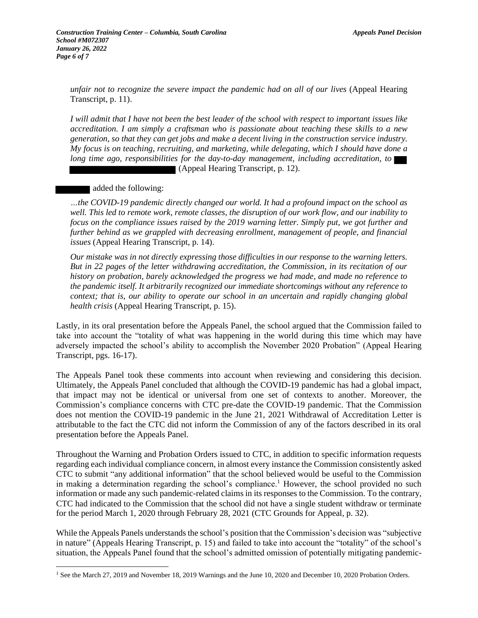*unfair not to recognize the severe impact the pandemic had on all of our lives* (Appeal Hearing Transcript, p. 11).

*I will admit that I have not been the best leader of the school with respect to important issues like accreditation. I am simply a craftsman who is passionate about teaching these skills to a new generation, so that they can get jobs and make a decent living in the construction service industry. My focus is on teaching, recruiting, and marketing, while delegating, which I should have done a long time ago, responsibilities for the day-to-day management, including accreditation, to*  (Appeal Hearing Transcript, p. 12).

added the following:

*…the COVID-19 pandemic directly changed our world. It had a profound impact on the school as well. This led to remote work, remote classes, the disruption of our work flow, and our inability to focus on the compliance issues raised by the 2019 warning letter. Simply put, we got further and further behind as we grappled with decreasing enrollment, management of people, and financial issues* (Appeal Hearing Transcript, p. 14).

*Our mistake was in not directly expressing those difficulties in our response to the warning letters. But in 22 pages of the letter withdrawing accreditation, the Commission, in its recitation of our history on probation, barely acknowledged the progress we had made, and made no reference to the pandemic itself. It arbitrarily recognized our immediate shortcomings without any reference to context; that is, our ability to operate our school in an uncertain and rapidly changing global health crisis* (Appeal Hearing Transcript, p. 15).

Lastly, in its oral presentation before the Appeals Panel, the school argued that the Commission failed to take into account the "totality of what was happening in the world during this time which may have adversely impacted the school's ability to accomplish the November 2020 Probation" (Appeal Hearing Transcript, pgs. 16-17).

The Appeals Panel took these comments into account when reviewing and considering this decision. Ultimately, the Appeals Panel concluded that although the COVID-19 pandemic has had a global impact, that impact may not be identical or universal from one set of contexts to another. Moreover, the Commission's compliance concerns with CTC pre-date the COVID-19 pandemic. That the Commission does not mention the COVID-19 pandemic in the June 21, 2021 Withdrawal of Accreditation Letter is attributable to the fact the CTC did not inform the Commission of any of the factors described in its oral presentation before the Appeals Panel.

Throughout the Warning and Probation Orders issued to CTC, in addition to specific information requests regarding each individual compliance concern, in almost every instance the Commission consistently asked CTC to submit "any additional information" that the school believed would be useful to the Commission in making a determination regarding the school's compliance.<sup>1</sup> However, the school provided no such information or made any such pandemic-related claims in its responses to the Commission. To the contrary, CTC had indicated to the Commission that the school did not have a single student withdraw or terminate for the period March 1, 2020 through February 28, 2021 (CTC Grounds for Appeal, p. 32).

While the Appeals Panels understands the school's position that the Commission's decision was "subjective in nature" (Appeals Hearing Transcript, p. 15) and failed to take into account the "totality" of the school's situation, the Appeals Panel found that the school's admitted omission of potentially mitigating pandemic-

<sup>&</sup>lt;sup>1</sup> See the March 27, 2019 and November 18, 2019 Warnings and the June 10, 2020 and December 10, 2020 Probation Orders.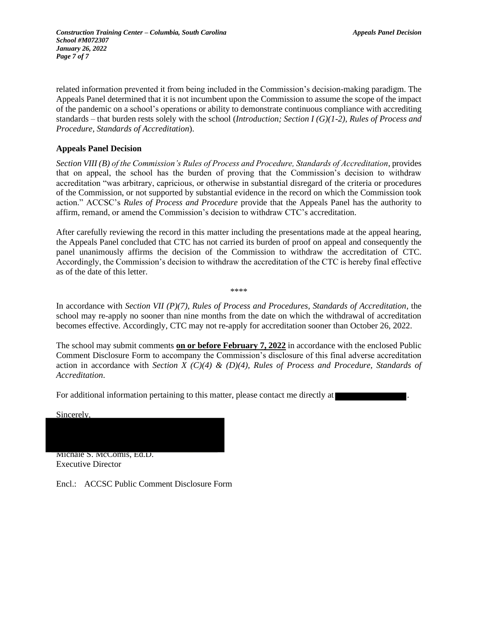*Construction Training Center – Columbia, South Carolina Appeals Panel Decision School #M072307 January 26, 2022 Page 7 of 7*

related information prevented it from being included in the Commission's decision-making paradigm. The Appeals Panel determined that it is not incumbent upon the Commission to assume the scope of the impact of the pandemic on a school's operations or ability to demonstrate continuous compliance with accrediting standards – that burden rests solely with the school (*Introduction; Section I (G)(1-2), Rules of Process and Procedure, Standards of Accreditation*).

#### **Appeals Panel Decision**

*Section VIII (B) of the Commission's Rules of Process and Procedure, Standards of Accreditation*, provides that on appeal, the school has the burden of proving that the Commission's decision to withdraw accreditation "was arbitrary, capricious, or otherwise in substantial disregard of the criteria or procedures of the Commission, or not supported by substantial evidence in the record on which the Commission took action." ACCSC's *Rules of Process and Procedure* provide that the Appeals Panel has the authority to affirm, remand, or amend the Commission's decision to withdraw CTC's accreditation.

After carefully reviewing the record in this matter including the presentations made at the appeal hearing, the Appeals Panel concluded that CTC has not carried its burden of proof on appeal and consequently the panel unanimously affirms the decision of the Commission to withdraw the accreditation of CTC. Accordingly, the Commission's decision to withdraw the accreditation of the CTC is hereby final effective as of the date of this letter.

In accordance with *Section VII (P)(7), Rules of Process and Procedures, Standards of Accreditation*, the school may re-apply no sooner than nine months from the date on which the withdrawal of accreditation becomes effective. Accordingly, CTC may not re-apply for accreditation sooner than October 26, 2022.

\*\*\*\*

The school may submit comments **on or before February 7, 2022** in accordance with the enclosed Public Comment Disclosure Form to accompany the Commission's disclosure of this final adverse accreditation action in accordance with *Section X (C)(4) & (D)(4), Rules of Process and Procedure, Standards of Accreditation*.

For additional information pertaining to this matter, please contact me directly at

Sincerely,

Michale S. McComis, Ed.D.

Executive Director

Encl.: ACCSC Public Comment Disclosure Form